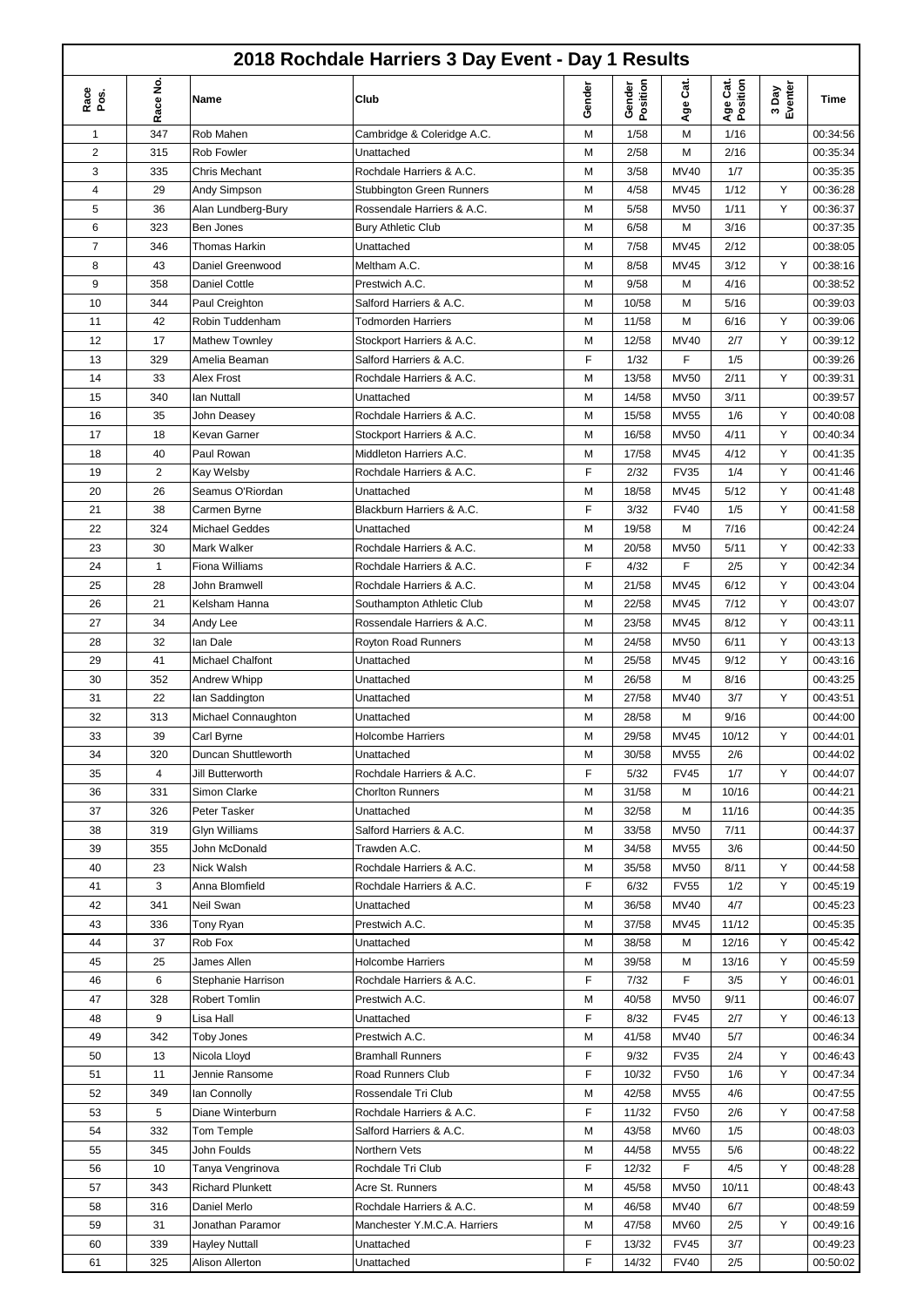| 2018 Rochdale Harriers 3 Day Event - Day 1 Results |                |                                |                                                      |        |                    |                  |                      |                  |                      |
|----------------------------------------------------|----------------|--------------------------------|------------------------------------------------------|--------|--------------------|------------------|----------------------|------------------|----------------------|
| Race<br>Pos.                                       | Race No.       | Name                           | Club                                                 | Gender | Gender<br>Position | Age Cat.         | Age Cat.<br>Position | 3 Day<br>Eventer | Time                 |
| 1                                                  | 347            | Rob Mahen                      | Cambridge & Coleridge A.C.                           | M      | 1/58               | M                | 1/16                 |                  | 00:34:56             |
| 2                                                  | 315            | <b>Rob Fowler</b>              | Unattached                                           | M      | 2/58               | M                | 2/16                 |                  | 00:35:34             |
| 3                                                  | 335            | Chris Mechant                  | Rochdale Harriers & A.C.                             | M      | 3/58               | MV40             | 1/7                  |                  | 00:35:35             |
| 4                                                  | 29             | Andy Simpson                   | <b>Stubbington Green Runners</b>                     | М      | 4/58               | <b>MV45</b>      | 1/12                 | Υ                | 00:36:28             |
| 5                                                  | 36             | Alan Lundberg-Bury             | Rossendale Harriers & A.C.                           | M      | 5/58               | <b>MV50</b>      | 1/11                 | Y                | 00:36:37             |
| 6                                                  | 323            | Ben Jones                      | <b>Bury Athletic Club</b>                            | M      | 6/58               | M                | 3/16                 |                  | 00:37:35             |
| 7                                                  | 346            | <b>Thomas Harkin</b>           | Unattached                                           | M      | 7/58               | <b>MV45</b>      | 2/12                 |                  | 00:38:05             |
| 8                                                  | 43             | Daniel Greenwood               | Meltham A.C.                                         | M      | 8/58               | <b>MV45</b>      | 3/12                 | Y                | 00:38:16             |
| 9                                                  | 358            | Daniel Cottle                  | Prestwich A.C.                                       | M      | 9/58               | M                | 4/16                 |                  | 00:38:52             |
| 10                                                 | 344            | Paul Creighton                 | Salford Harriers & A.C.                              | М      | 10/58              | M                | 5/16                 |                  | 00:39:03             |
| 11                                                 | 42             | Robin Tuddenham                | <b>Todmorden Harriers</b>                            | М      | 11/58              | M                | 6/16                 | Y                | 00:39:06             |
| 12                                                 | 17             | Mathew Townley                 | Stockport Harriers & A.C.                            | М      | 12/58              | MV40             | 2/7                  | Y                | 00:39:12             |
| 13                                                 | 329            | Amelia Beaman                  | Salford Harriers & A.C.                              | F      | 1/32               | F                | 1/5                  |                  | 00:39:26             |
| 14                                                 | 33             | Alex Frost                     | Rochdale Harriers & A.C.                             | M      | 13/58              | <b>MV50</b>      | 2/11                 | Y                | 00:39:31             |
| 15                                                 | 340            | lan Nuttall                    | Unattached                                           | M      | 14/58              | MV50             | 3/11                 |                  | 00:39:57             |
| 16                                                 | 35             | John Deasey                    | Rochdale Harriers & A.C.                             | M      | 15/58              | <b>MV55</b>      | 1/6                  | Υ                | 00:40:08             |
| 17                                                 | 18             | Kevan Garner                   | Stockport Harriers & A.C.                            | M      | 16/58              | MV50             | 4/11                 | Y                | 00:40:34             |
| 18                                                 | 40             | Paul Rowan                     | Middleton Harriers A.C.                              | M      | 17/58              | MV45             | 4/12                 | Y                | 00:41:35             |
| 19                                                 | $\overline{2}$ | Kay Welsby                     | Rochdale Harriers & A.C.                             | F      | 2/32               | <b>FV35</b>      | 1/4                  | Y                | 00:41:46             |
| 20                                                 | 26             | Seamus O'Riordan               | Unattached                                           | M      | 18/58              | MV45             | 5/12                 | Y                | 00:41:48             |
| 21                                                 | 38             | Carmen Byrne                   | Blackburn Harriers & A.C.                            | F      | 3/32               | <b>FV40</b>      | 1/5                  | Y                | 00:41:58             |
| 22                                                 | 324            | <b>Michael Geddes</b>          | Unattached                                           | M      | 19/58              | M                | 7/16                 |                  | 00:42:24             |
| 23<br>24                                           | 30             | Mark Walker                    | Rochdale Harriers & A.C.                             | M<br>F | 20/58<br>4/32      | <b>MV50</b><br>F | 5/11<br>2/5          | Υ<br>Υ           | 00:42:33             |
|                                                    | 1              | Fiona Williams                 | Rochdale Harriers & A.C.<br>Rochdale Harriers & A.C. | M      | 21/58              | MV45             | 6/12                 | Υ                | 00:42:34             |
| 25<br>26                                           | 28<br>21       | John Bramwell<br>Kelsham Hanna | Southampton Athletic Club                            | M      | 22/58              | MV45             | 7/12                 | Υ                | 00:43:04<br>00:43:07 |
| 27                                                 | 34             | Andy Lee                       | Rossendale Harriers & A.C.                           | M      | 23/58              | MV45             | 8/12                 | Υ                | 00:43:11             |
| 28                                                 | 32             | lan Dale                       | Royton Road Runners                                  | M      | 24/58              | <b>MV50</b>      | 6/11                 | Υ                | 00:43:13             |
| 29                                                 | 41             | Michael Chalfont               | Unattached                                           | М      | 25/58              | MV45             | 9/12                 | Υ                | 00:43:16             |
| 30                                                 | 352            | Andrew Whipp                   | Unattached                                           | M      | 26/58              | M                | 8/16                 |                  | 00:43:25             |
| 31                                                 | 22             | lan Saddington                 | Unattached                                           | M      | 27/58              | MV40             | 3/7                  | Y                | 00:43:51             |
| 32                                                 | 313            | Michael Connaughton            | Unattached                                           | M      | 28/58              | M                | 9/16                 |                  | 00:44:00             |
| 33                                                 | 39             | Carl Byrne                     | Holcombe Harriers                                    | M      | 29/58              | <b>MV45</b>      | 10/12                | Y                | 00:44:01             |
| 34                                                 | 320            | Duncan Shuttleworth            | Unattached                                           | м      | 30/58              | MV55             | 2/6                  |                  | 00:44:02             |
| 35                                                 | 4              | Jill Butterworth               | Rochdale Harriers & A.C.                             | F      | 5/32               | <b>FV45</b>      | 1/7                  | Y                | 00:44:07             |
| 36                                                 | 331            | Simon Clarke                   | <b>Chorlton Runners</b>                              | М      | 31/58              | M                | 10/16                |                  | 00:44:21             |
| 37                                                 | 326            | Peter Tasker                   | Unattached                                           | М      | 32/58              | M                | 11/16                |                  | 00:44:35             |
| 38                                                 | 319            | Glyn Williams                  | Salford Harriers & A.C.                              | М      | 33/58              | <b>MV50</b>      | 7/11                 |                  | 00:44:37             |
| 39                                                 | 355            | John McDonald                  | Trawden A.C.                                         | М      | 34/58              | MV55             | 3/6                  |                  | 00:44:50             |
| 40                                                 | 23             | Nick Walsh                     | Rochdale Harriers & A.C.                             | M      | 35/58              | <b>MV50</b>      | 8/11                 | Υ                | 00:44:58             |
| 41                                                 | 3              | Anna Blomfield                 | Rochdale Harriers & A.C.                             | F      | 6/32               | <b>FV55</b>      | 1/2                  | Υ                | 00:45:19             |
| 42                                                 | 341            | Neil Swan                      | Unattached                                           | M      | 36/58              | MV40             | 4/7                  |                  | 00:45:23             |
| 43                                                 | 336            | Tony Ryan                      | Prestwich A.C.                                       | М      | 37/58              | MV45             | 11/12                |                  | 00:45:35             |
| 44                                                 | 37             | Rob Fox                        | Unattached                                           | М      | 38/58              | M                | 12/16                | Υ                | 00:45:42             |
| 45                                                 | 25             | James Allen                    | Holcombe Harriers                                    | М      | 39/58              | M                | 13/16                | Υ                | 00:45:59             |
| 46                                                 | 6              | Stephanie Harrison             | Rochdale Harriers & A.C.                             | F      | 7/32               | F                | 3/5                  | Υ                | 00:46:01             |
| 47                                                 | 328            | Robert Tomlin                  | Prestwich A.C.                                       | M      | 40/58              | <b>MV50</b>      | 9/11                 |                  | 00:46:07             |
| 48                                                 | 9              | Lisa Hall                      | Unattached                                           | F      | 8/32               | <b>FV45</b>      | 2/7                  | Y                | 00:46:13             |
| 49                                                 | 342            | <b>Toby Jones</b>              | Prestwich A.C.                                       | M      | 41/58              | MV40             | 5/7                  |                  | 00:46:34             |
| 50                                                 | 13             | Nicola Lloyd                   | <b>Bramhall Runners</b>                              | F      | 9/32               | <b>FV35</b>      | 2/4                  | Υ                | 00:46:43             |
| 51                                                 | 11             | Jennie Ransome                 | Road Runners Club                                    | F      | 10/32              | <b>FV50</b>      | 1/6                  | Υ                | 00:47:34             |
| 52                                                 | 349            | lan Connolly                   | Rossendale Tri Club                                  | М      | 42/58              | MV55             | 4/6                  |                  | 00:47:55             |
| 53                                                 | 5              | Diane Winterburn               | Rochdale Harriers & A.C.                             | F      | 11/32              | <b>FV50</b>      | 2/6                  | Υ                | 00:47:58             |
| 54                                                 | 332            | Tom Temple                     | Salford Harriers & A.C.                              | М      | 43/58              | <b>MV60</b>      | 1/5                  |                  | 00:48:03             |
| 55                                                 | 345            | John Foulds                    | Northern Vets                                        | М      | 44/58              | <b>MV55</b>      | 5/6                  |                  | 00:48:22             |
| 56                                                 | 10             | Tanya Vengrinova               | Rochdale Tri Club                                    | F      | 12/32              | F                | 4/5                  | Υ                | 00:48:28             |
| 57                                                 | 343            | <b>Richard Plunkett</b>        | Acre St. Runners                                     | М      | 45/58              | <b>MV50</b>      | 10/11                |                  | 00:48:43             |
| 58                                                 | 316            | Daniel Merlo                   | Rochdale Harriers & A.C.                             | М      | 46/58              | MV40             | 6/7                  |                  | 00:48:59             |
| 59                                                 | 31             | Jonathan Paramor               | Manchester Y.M.C.A. Harriers                         | М      | 47/58              | <b>MV60</b>      | 2/5                  | Υ                | 00:49:16             |
| 60                                                 | 339            | <b>Hayley Nuttall</b>          | Unattached                                           | F      | 13/32              | <b>FV45</b>      | 3/7                  |                  | 00:49:23             |
| 61                                                 | 325            | Alison Allerton                | Unattached                                           | F      | 14/32              | <b>FV40</b>      | 2/5                  |                  | 00:50:02             |